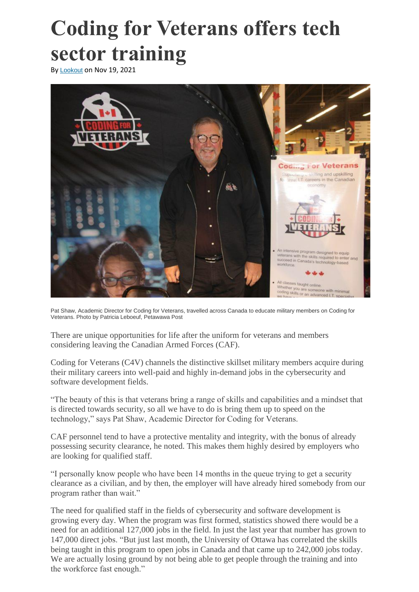## **[Coding for Veterans offers tech](https://www.lookoutnewspaper.com/coding-veterans-offers-tech-sector-training/)  [sector training](https://www.lookoutnewspaper.com/coding-veterans-offers-tech-sector-training/)**

By [Lookout](https://www.lookoutnewspaper.com/author/lookout/) on Nov 19, 2021



Pat Shaw, Academic Director for Coding for Veterans, travelled across Canada to educate military members on Coding for Veterans. Photo by Patricia Leboeuf, Petawawa Post

There are unique opportunities for life after the uniform for veterans and members considering leaving the Canadian Armed Forces (CAF).

Coding for Veterans (C4V) channels the distinctive skillset military members acquire during their military careers into well-paid and highly in-demand jobs in the cybersecurity and software development fields.

"The beauty of this is that veterans bring a range of skills and capabilities and a mindset that is directed towards security, so all we have to do is bring them up to speed on the technology," says Pat Shaw, Academic Director for Coding for Veterans.

CAF personnel tend to have a protective mentality and integrity, with the bonus of already possessing security clearance, he noted. This makes them highly desired by employers who are looking for qualified staff.

"I personally know people who have been 14 months in the queue trying to get a security clearance as a civilian, and by then, the employer will have already hired somebody from our program rather than wait."

The need for qualified staff in the fields of cybersecurity and software development is growing every day. When the program was first formed, statistics showed there would be a need for an additional 127,000 jobs in the field. In just the last year that number has grown to 147,000 direct jobs. "But just last month, the University of Ottawa has correlated the skills being taught in this program to open jobs in Canada and that came up to 242,000 jobs today. We are actually losing ground by not being able to get people through the training and into the workforce fast enough."